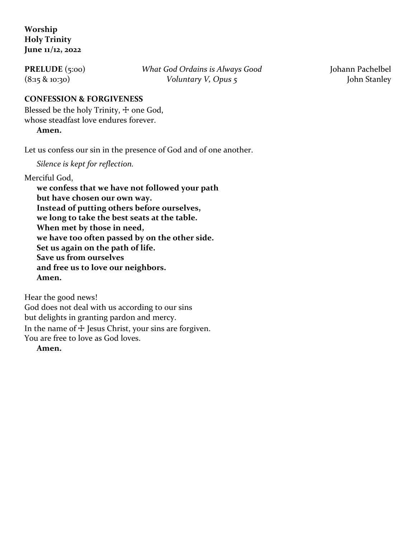## **Worship Holy Trinity June 11/12, 2022**

**PRELUDE** (5:00) *What God Ordains is Always Good* Johann Pachelbel (8:15 & 10:30) *Voluntary V, Opus 5* John Stanley

## **CONFESSION & FORGIVENESS**

Blessed be the holy Trinity,  $\pm$  one God, whose steadfast love endures forever.

**Amen.**

Let us confess our sin in the presence of God and of one another.

*Silence is kept for reflection.*

Merciful God,

**we confess that we have not followed your path but have chosen our own way. Instead of putting others before ourselves, we long to take the best seats at the table. When met by those in need, we have too often passed by on the other side. Set us again on the path of life. Save us from ourselves and free us to love our neighbors. Amen.**

Hear the good news! God does not deal with us according to our sins but delights in granting pardon and mercy. In the name of  $\pm$  Jesus Christ, your sins are forgiven. You are free to love as God loves.

**Amen.**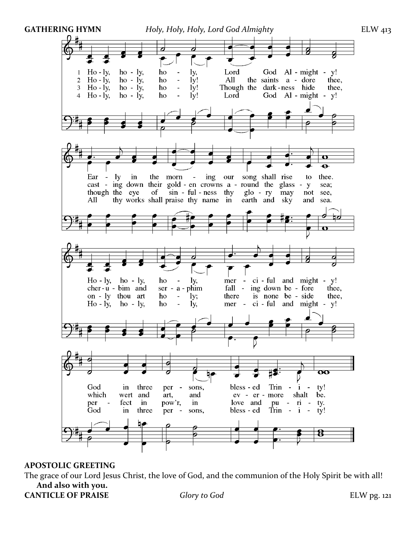

#### **APOSTOLIC GREETING**

The grace of our Lord Jesus Christ, the love of God, and the communion of the Holy Spirit be with all! **And also with you. CANTICLE OF PRAISE** *Glory to God* ELW pg. 121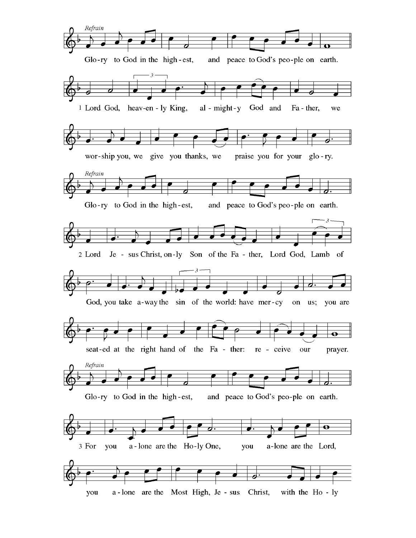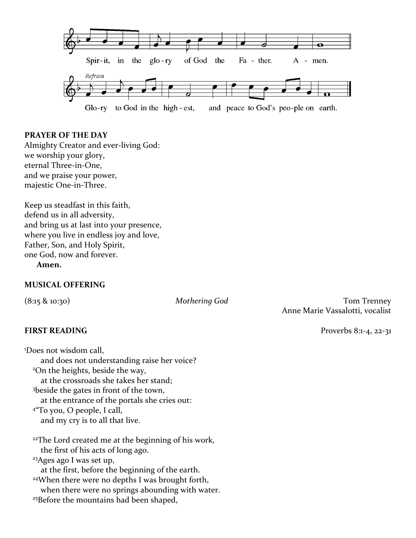

#### **PRAYER OF THE DAY**

Almighty Creator and ever-living God: we worship your glory, eternal Three-in-One, and we praise your power, majestic One-in-Three.

Keep us steadfast in this faith, defend us in all adversity, and bring us at last into your presence, where you live in endless joy and love, Father, Son, and Holy Spirit, one God, now and forever.

**Amen.**

#### **MUSICAL OFFERING**

#### **FIRST READING** Proverbs 8:1-4, 22-31

<sup>1</sup>Does not wisdom call, and does not understanding raise her voice? <sup>2</sup>On the heights, beside the way, at the crossroads she takes her stand; <sup>3</sup>beside the gates in front of the town, at the entrance of the portals she cries out: 4 "To you, O people, I call, and my cry is to all that live. <sup>22</sup>The Lord created me at the beginning of his work, the first of his acts of long ago. <sup>23</sup>Ages ago I was set up, at the first, before the beginning of the earth. <sup>24</sup>When there were no depths I was brought forth, when there were no springs abounding with water.

<sup>25</sup>Before the mountains had been shaped,

(8:15 & 10:30) *Mothering God* Tom Trenney Anne Marie Vassalotti, vocalist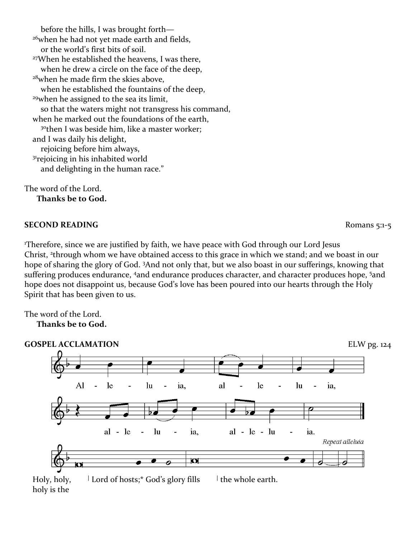before the hills, I was brought forth— <sup>26</sup>when he had not yet made earth and fields, or the world's first bits of soil. <sup>27</sup>When he established the heavens, I was there, when he drew a circle on the face of the deep, <sup>28</sup>when he made firm the skies above, when he established the fountains of the deep, <sup>29</sup>when he assigned to the sea its limit, so that the waters might not transgress his command, when he marked out the foundations of the earth, <sup>30</sup>then I was beside him, like a master worker; and I was daily his delight, rejoicing before him always, <sup>31</sup>rejoicing in his inhabited world and delighting in the human race."

The word of the Lord. **Thanks be to God.**

#### **SECOND READING** Romans 5:1-5

<sup>1</sup>Therefore, since we are justified by faith, we have peace with God through our Lord Jesus Christ, <sup>2</sup>through whom we have obtained access to this grace in which we stand; and we boast in our hope of sharing the glory of God. <sup>3</sup>And not only that, but we also boast in our sufferings, knowing that suffering produces endurance, 4and endurance produces character, and character produces hope, 5and hope does not disappoint us, because God's love has been poured into our hearts through the Holy Spirit that has been given to us.

The word of the Lord.





 Holy, holy, **<sup>|</sup>** Lord of hosts;\* God's glory fills **|** the whole earth. holy is the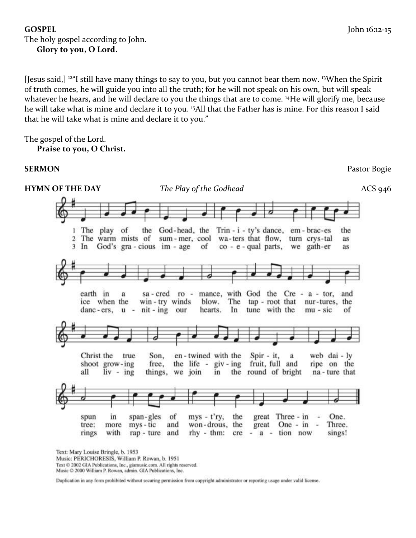## **GOSPEL** John 16:12-15 The holy gospel according to John. **Glory to you, O Lord.**

[Jesus said,] <sup>12</sup>"I still have many things to say to you, but you cannot bear them now. <sup>13</sup>When the Spirit of truth comes, he will guide you into all the truth; for he will not speak on his own, but will speak whatever he hears, and he will declare to you the things that are to come. <sup>14</sup>He will glorify me, because he will take what is mine and declare it to you. <sup>15</sup>All that the Father has is mine. For this reason I said that he will take what is mine and declare it to you."

The gospel of the Lord.

**Praise to you, O Christ.**

**HYMN OF THE DAY** *The Play of the Godhead ACS 946* 1 The play of the God-head, the Trin  $-i$  - ty's dance, em - brac-es the 2 The warm mists of sum-mer, cool wa-ters that flow, turn crys-tal as 3 In God's gra-cious im-age of co - e - qual parts, we gath-er as sa-cred ro - mance, with God the Cre -  $a$  - tor, earth in a and ice when the win-try winds blow. The tap - root that nur-tures, the danc-ers,  $u - nit - ing our$ hearts. In tune with the mu - sic of Christ the true Son. en-twined with the Spir - it. web dai - ly a shoot grow-ing free, the life -  $giv - ing$ fruit, full and ripe on the all  $liv - ing$ things, we join in the round of bright na - ture that great Three - in spun in span-gles of  $mys - t'ry$ , the One. - 1 tree: more mys - tic and won-drous, the great One -  $in$ Three. rings with rap - ture and  $rhy - thm$ :  $cre - a - tion now$ sings!

Text: Mary Louise Bringle, b. 1953

Music: PERICHORESIS, William P. Rowan, b. 1951

Text © 2002 GIA Publications, Inc., giamusic.com. All rights reserved.

Music © 2000 William P. Rowan, admin. GIA Publications, Inc.

Duplication in any form prohibited without securing permission from copyright administrator or reporting usage under valid license.

**SERMON** Pastor Bogie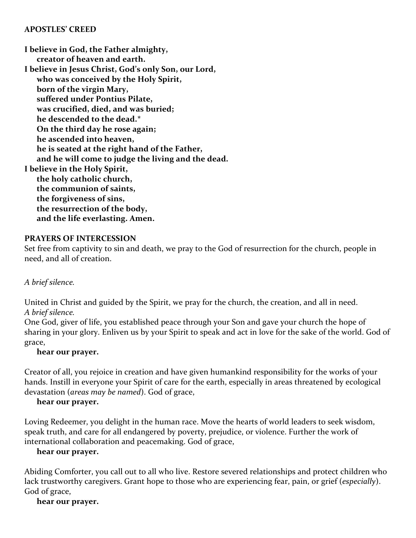#### **APOSTLES' CREED**

**I believe in God, the Father almighty, creator of heaven and earth. I believe in Jesus Christ, God's only Son, our Lord, who was conceived by the Holy Spirit, born of the virgin Mary, suffered under Pontius Pilate, was crucified, died, and was buried; he descended to the dead.\* On the third day he rose again; he ascended into heaven, he is seated at the right hand of the Father, and he will come to judge the living and the dead. I believe in the Holy Spirit, the holy catholic church, the communion of saints, the forgiveness of sins, the resurrection of the body, and the life everlasting. Amen.**

## **PRAYERS OF INTERCESSION**

Set free from captivity to sin and death, we pray to the God of resurrection for the church, people in need, and all of creation.

## *A brief silence.*

United in Christ and guided by the Spirit, we pray for the church, the creation, and all in need. *A brief silence.*

One God, giver of life, you established peace through your Son and gave your church the hope of sharing in your glory. Enliven us by your Spirit to speak and act in love for the sake of the world. God of grace,

#### **hear our prayer.**

Creator of all, you rejoice in creation and have given humankind responsibility for the works of your hands. Instill in everyone your Spirit of care for the earth, especially in areas threatened by ecological devastation (*areas may be named*). God of grace,

#### **hear our prayer.**

Loving Redeemer, you delight in the human race. Move the hearts of world leaders to seek wisdom, speak truth, and care for all endangered by poverty, prejudice, or violence. Further the work of international collaboration and peacemaking. God of grace,

#### **hear our prayer.**

Abiding Comforter, you call out to all who live. Restore severed relationships and protect children who lack trustworthy caregivers. Grant hope to those who are experiencing fear, pain, or grief (*especially*). God of grace,

#### **hear our prayer.**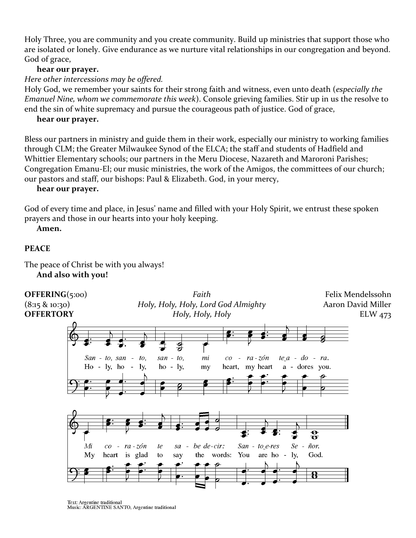Holy Three, you are community and you create community. Build up ministries that support those who are isolated or lonely. Give endurance as we nurture vital relationships in our congregation and beyond. God of grace,

## **hear our prayer.**

*Here other intercessions may be offered.*

Holy God, we remember your saints for their strong faith and witness, even unto death (*especially the Emanuel Nine, whom we commemorate this week*). Console grieving families. Stir up in us the resolve to end the sin of white supremacy and pursue the courageous path of justice. God of grace,

## **hear our prayer.**

Bless our partners in ministry and guide them in their work, especially our ministry to working families through CLM; the Greater Milwaukee Synod of the ELCA; the staff and students of Hadfield and Whittier Elementary schools; our partners in the Meru Diocese, Nazareth and Maroroni Parishes; Congregation Emanu-El; our music ministries, the work of the Amigos, the committees of our church; our pastors and staff, our bishops: Paul & Elizabeth. God, in your mercy,

#### **hear our prayer.**

God of every time and place, in Jesus' name and filled with your Holy Spirit, we entrust these spoken prayers and those in our hearts into your holy keeping.

**Amen.**

## **PEACE**

The peace of Christ be with you always! **And also with you!**



Text: Argentine traditional Music: ARGENTINE SANTO, Argentine traditional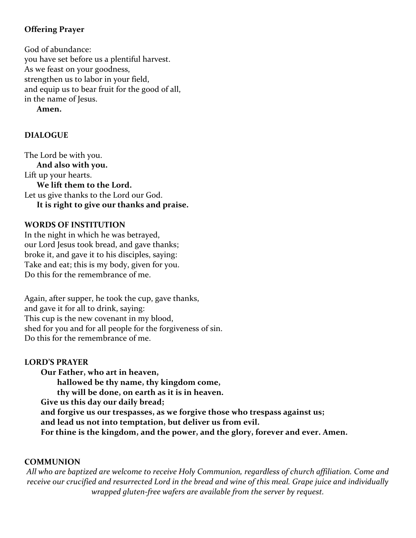# **Offering Prayer**

God of abundance: you have set before us a plentiful harvest. As we feast on your goodness, strengthen us to labor in your field, and equip us to bear fruit for the good of all, in the name of Jesus.

**Amen.**

## **DIALOGUE**

The Lord be with you. **And also with you.** Lift up your hearts. **We lift them to the Lord.** Let us give thanks to the Lord our God. **It is right to give our thanks and praise.**

## **WORDS OF INSTITUTION**

In the night in which he was betrayed, our Lord Jesus took bread, and gave thanks; broke it, and gave it to his disciples, saying: Take and eat; this is my body, given for you. Do this for the remembrance of me.

Again, after supper, he took the cup, gave thanks, and gave it for all to drink, saying: This cup is the new covenant in my blood, shed for you and for all people for the forgiveness of sin. Do this for the remembrance of me.

#### **LORD'S PRAYER**

**Our Father, who art in heaven, hallowed be thy name, thy kingdom come, thy will be done, on earth as it is in heaven. Give us this day our daily bread; and forgive us our trespasses, as we forgive those who trespass against us; and lead us not into temptation, but deliver us from evil. For thine is the kingdom, and the power, and the glory, forever and ever. Amen.**

## **COMMUNION**

*All who are baptized are welcome to receive Holy Communion, regardless of church affiliation. Come and receive our crucified and resurrected Lord in the bread and wine of this meal. Grape juice and individually wrapped gluten-free wafers are available from the server by request.*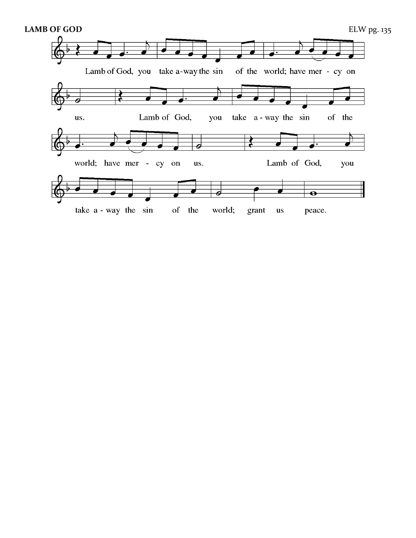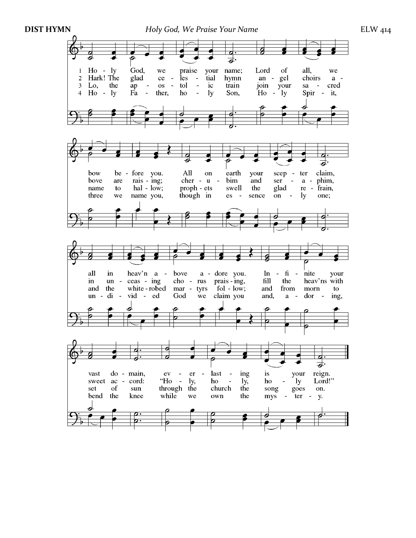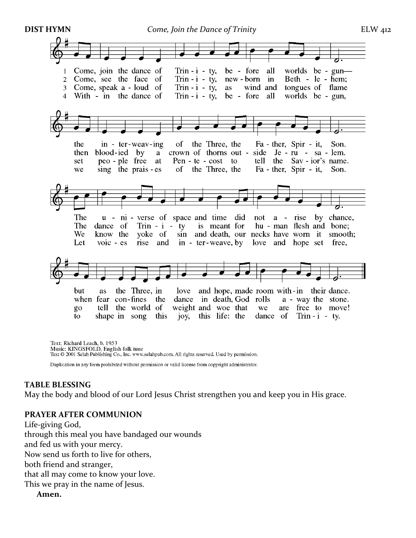

Text: Richard Leach, b. 1953 Music: KINGSFOLD, English folk tune Text © 2001 Selah Publishing Co., Inc. www.selahpub.com. All rights reserved. Used by permission.

Duplication in any form prohibited without permission or valid license from copyright administrator.

#### **TABLE BLESSING**

May the body and blood of our Lord Jesus Christ strengthen you and keep you in His grace.

#### **PRAYER AFTER COMMUNION**

Life-giving God, through this meal you have bandaged our wounds and fed us with your mercy. Now send us forth to live for others, both friend and stranger, that all may come to know your love. This we pray in the name of Jesus. **Amen.**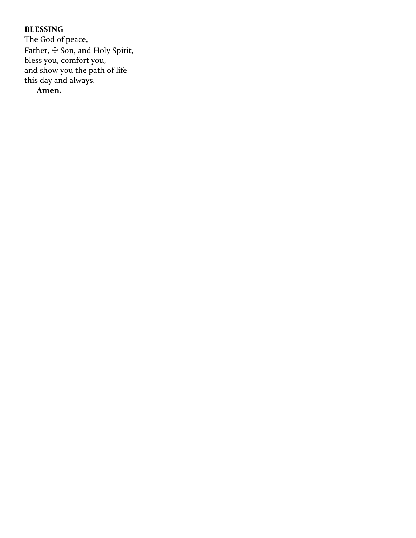# **BLESSING**

The God of peace, Father,  $\pm$  Son, and Holy Spirit, bless you, comfort you, and show you the path of life this day and always.

**Amen.**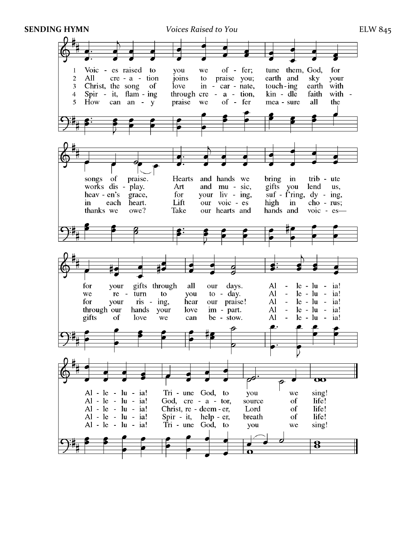